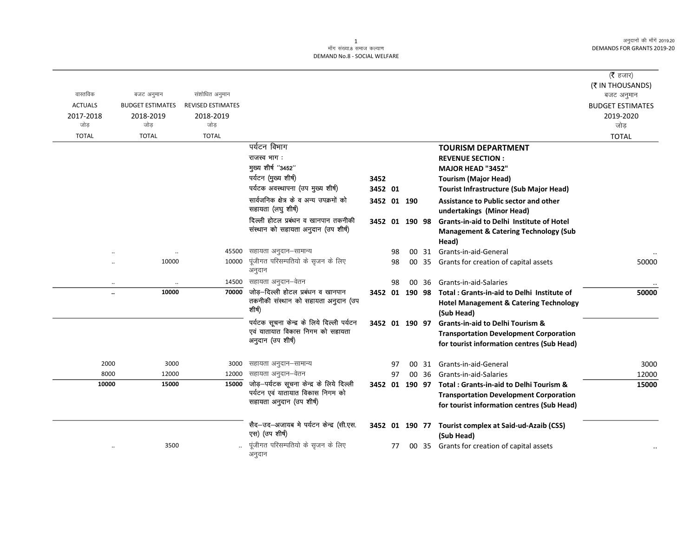## -<br>माँग संख्या.8 समाज कल्याण DEMAND No.8 - SOCIAL WELFARE

|                |                         |                   |                                                                                                          |                |    |       |                                                                                                                                            | ( $\bar{\tau}$ हजार)    |
|----------------|-------------------------|-------------------|----------------------------------------------------------------------------------------------------------|----------------|----|-------|--------------------------------------------------------------------------------------------------------------------------------------------|-------------------------|
|                |                         |                   |                                                                                                          |                |    |       |                                                                                                                                            | (₹ IN THOUSANDS)        |
| वास्तविक       | बजट अनुमान              | संशोधित अनुमान    |                                                                                                          |                |    |       |                                                                                                                                            | बजट अनुमान              |
| <b>ACTUALS</b> | <b>BUDGET ESTIMATES</b> | REVISED ESTIMATES |                                                                                                          |                |    |       |                                                                                                                                            | <b>BUDGET ESTIMATES</b> |
| 2017-2018      | 2018-2019               | 2018-2019         |                                                                                                          |                |    |       |                                                                                                                                            | 2019-2020               |
| जोड            | जोड                     | जोड               |                                                                                                          |                |    |       |                                                                                                                                            | जोड                     |
| <b>TOTAL</b>   | <b>TOTAL</b>            | <b>TOTAL</b>      |                                                                                                          |                |    |       |                                                                                                                                            | <b>TOTAL</b>            |
|                |                         |                   | पर्यटन विभाग                                                                                             |                |    |       | <b>TOURISM DEPARTMENT</b>                                                                                                                  |                         |
|                |                         |                   | राजस्व भाग:                                                                                              |                |    |       | <b>REVENUE SECTION:</b>                                                                                                                    |                         |
|                |                         |                   | मुख्य शीर्ष "3452"                                                                                       |                |    |       | MAJOR HEAD "3452"                                                                                                                          |                         |
|                |                         |                   | पर्यटन (मुख्य शीर्ष)                                                                                     | 3452           |    |       | <b>Tourism (Major Head)</b>                                                                                                                |                         |
|                |                         |                   | पर्यटक अवस्थापना (उप मुख्य शीर्ष)                                                                        | 3452 01        |    |       | <b>Tourist Infrastructure (Sub Major Head)</b>                                                                                             |                         |
|                |                         |                   | सार्वजनिक क्षेत्र के व अन्य उपक्रमों को<br>सहायता (लघु शीर्ष)                                            | 3452 01 190    |    |       | Assistance to Public sector and other<br>undertakings (Minor Head)                                                                         |                         |
|                |                         |                   | दिल्ली होटल प्रबंधन व खानपान तकनीकी<br>संस्थान को सहायता अनुदान (उप शीर्ष)                               | 3452 01 190 98 |    |       | Grants-in-aid to Delhi Institute of Hotel<br><b>Management &amp; Catering Technology (Sub</b><br>Head)                                     |                         |
|                |                         | 45500             | सहायता अनुदान–सामान्य                                                                                    |                | 98 |       | 00 31 Grants-in-aid-General                                                                                                                |                         |
|                | 10000                   | 10000             | पूंजीगत परिसम्पतियो के सृजन के लिए<br>अनुदान                                                             |                | 98 |       | 00 35 Grants for creation of capital assets                                                                                                | 50000                   |
|                |                         | 14500             | सहायता अनुदान–वेतन                                                                                       |                | 98 | 00 36 | Grants-in-aid-Salaries                                                                                                                     |                         |
| $\ddotsc$      | 10000                   | 70000             | जोड़-दिल्ली होटल प्रबंधन व खानपान                                                                        | 3452 01 190 98 |    |       | Total: Grants-in-aid to Delhi Institute of                                                                                                 | 50000                   |
|                |                         |                   | तकनीकी संस्थान को सहायता अनुदान (उप<br>शीर्ष)                                                            |                |    |       | <b>Hotel Management &amp; Catering Technology</b><br>(Sub Head)                                                                            |                         |
|                |                         |                   | पर्यटक सूचना केन्द्र के लिये दिल्ली पर्यटन<br>एवं यातायात विकास निगम को सहायता<br>अनुदान (उप शीर्ष)      | 3452 01 190 97 |    |       | <b>Grants-in-aid to Delhi Tourism &amp;</b><br><b>Transportation Development Corporation</b><br>for tourist information centres (Sub Head) |                         |
| 2000           | 3000                    | 3000              | सहायता अनुदान–सामान्य                                                                                    |                | 97 | 00 31 | Grants-in-aid-General                                                                                                                      | 3000                    |
| 8000           | 12000                   | 12000             | सहायता अनुदान–वेतन                                                                                       |                | 97 | 00 36 | Grants-in-aid-Salaries                                                                                                                     | 12000                   |
| 10000          | 15000                   | 15000             | जोड़-पर्यटक सूचना केन्द्र के लिये दिल्ली<br>पर्यटन एवं यातायात विकास निगम को<br>सहायता अनुदान (उप शीर्ष) |                |    |       | 3452 01 190 97 Total: Grants-in-aid to Delhi Tourism &<br><b>Transportation Development Corporation</b>                                    | 15000                   |
|                |                         |                   | सैद-उद-अजायब मे पर्यटन केन्द्र (सी.एस.                                                                   |                |    |       | for tourist information centres (Sub Head)<br>3452 01 190 77 Tourist complex at Said-ud-Azaib (CSS)                                        |                         |
|                |                         |                   | एस) (उप शीर्ष)                                                                                           |                |    |       | (Sub Head)                                                                                                                                 |                         |
|                | 3500                    |                   | पूंजीगत परिसम्पतियो के सृजन के लिए<br>अनुदान                                                             |                | 77 |       | 00 35 Grants for creation of capital assets                                                                                                |                         |

 $\overline{1}$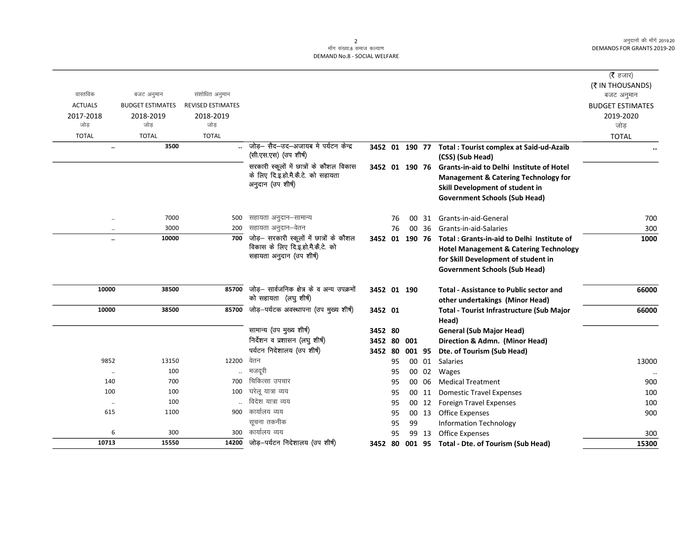## 2<br>माँग संख्या.8 समाज कल्याण DEMAND No.8 - SOCIAL WELFARE

|                      |                         |                          |                                            |                |    |        |       |                                                           | ( <b>रै</b> हजार)                    |
|----------------------|-------------------------|--------------------------|--------------------------------------------|----------------|----|--------|-------|-----------------------------------------------------------|--------------------------------------|
| वास्तविक             | बजट अनुमान              | संशोधित अनुमान           |                                            |                |    |        |       |                                                           | (₹ IN THOUSANDS)                     |
| <b>ACTUALS</b>       | <b>BUDGET ESTIMATES</b> | <b>REVISED ESTIMATES</b> |                                            |                |    |        |       |                                                           | बजट अनुमान                           |
|                      |                         |                          |                                            |                |    |        |       |                                                           | <b>BUDGET ESTIMATES</b><br>2019-2020 |
| 2017-2018<br>जोड     | 2018-2019<br>जोड        | 2018-2019<br>जोड         |                                            |                |    |        |       |                                                           | जोड                                  |
| <b>TOTAL</b>         | <b>TOTAL</b>            | <b>TOTAL</b>             |                                            |                |    |        |       |                                                           | <b>TOTAL</b>                         |
| $\ddot{\phantom{0}}$ | 3500                    |                          | जोड़- सैद-उद-अजायब मे पर्यटन केन्द्र       | 3452 01 190 77 |    |        |       | <b>Total: Tourist complex at Said-ud-Azaib</b>            |                                      |
|                      |                         |                          | (सी.एस.एस) (उप शीर्ष)                      |                |    |        |       | (CSS) (Sub Head)                                          |                                      |
|                      |                         |                          | सरकारी स्कूलों में छात्रों के कौशल विकास   |                |    |        |       | 3452 01 190 76 Grants-in-aid to Delhi Institute of Hotel  |                                      |
|                      |                         |                          | के लिए दि.इ.हो.मै.कै.टे. को सहायता         |                |    |        |       | <b>Management &amp; Catering Technology for</b>           |                                      |
|                      |                         |                          | अनुदान (उप शीर्ष)                          |                |    |        |       | Skill Development of student in                           |                                      |
|                      |                         |                          |                                            |                |    |        |       | <b>Government Schools (Sub Head)</b>                      |                                      |
| $\ddot{\phantom{0}}$ | 7000                    | 500                      | सहायता अनुदान–सामान्य                      |                | 76 |        | 00 31 | Grants-in-aid-General                                     | 700                                  |
| $\ddotsc$            | 3000                    | 200                      | सहायता अनुदान–वेतन                         |                | 76 |        | 00 36 | Grants-in-aid-Salaries                                    | 300                                  |
| $\ddot{\phantom{a}}$ | 10000                   | 700                      | जोड़– सरकारी स्कूलों में छात्रों के कौशल   | 3452 01 190 76 |    |        |       | Total: Grants-in-aid to Delhi Institute of                | 1000                                 |
|                      |                         |                          | विकास के लिए दि.इ.हो.मै.कै.टे. को          |                |    |        |       | <b>Hotel Management &amp; Catering Technology</b>         |                                      |
|                      |                         |                          | सहायता अनुदान (उप शीर्ष)                   |                |    |        |       | for Skill Development of student in                       |                                      |
|                      |                         |                          |                                            |                |    |        |       | <b>Government Schools (Sub Head)</b>                      |                                      |
| 10000                | 38500                   | 85700                    | जोड़- सार्वजनिक क्षेत्र के व अन्य उपक्रमों | 3452 01 190    |    |        |       | <b>Total - Assistance to Public sector and</b>            | 66000                                |
|                      |                         |                          | को सहायता (लघु शीर्ष)                      |                |    |        |       | other undertakings (Minor Head)                           |                                      |
| 10000                | 38500                   | 85700                    | जोड़-पर्यटक अवस्थापना (उप मुख्य शीर्ष)     | 3452 01        |    |        |       | <b>Total - Tourist Infrastructure (Sub Major</b><br>Head) | 66000                                |
|                      |                         |                          | सामान्य (उप मुख्य शीर्ष)                   | 3452 80        |    |        |       | <b>General (Sub Major Head)</b>                           |                                      |
|                      |                         |                          | निर्देशन व प्रशासन (लघु शीर्ष)             | 3452 80        |    | 001    |       | Direction & Admn. (Minor Head)                            |                                      |
|                      |                         |                          | पर्यटन निदेशालय (उप शीर्ष)                 | 3452 80        |    | 001 95 |       | Dte. of Tourism (Sub Head)                                |                                      |
| 9852                 | 13150                   | 12200                    | वेतन                                       |                | 95 |        | 00 01 | Salaries                                                  | 13000                                |
| $\ddotsc$            | 100                     |                          | मजदूरी                                     |                | 95 |        | 00 02 | Wages                                                     |                                      |
| 140                  | 700                     | 700                      | चिकित्सा उपचार                             |                | 95 |        | 00 06 | <b>Medical Treatment</b>                                  | 900                                  |
| 100                  | 100                     | 100                      | घरेलू यात्रा व्यय                          |                | 95 |        | 00 11 | <b>Domestic Travel Expenses</b>                           | 100                                  |
| $\ddot{\phantom{0}}$ | 100                     |                          | विदेश यात्रा व्यय                          |                | 95 |        |       | 00 12 Foreign Travel Expenses                             | 100                                  |
| 615                  | 1100                    | 900                      | कार्यालय व्यय                              |                | 95 |        | 00 13 | <b>Office Expenses</b>                                    | 900                                  |
|                      |                         |                          | सूचना तकनीक                                |                | 95 | 99     |       | <b>Information Technology</b>                             |                                      |
| 6                    | 300                     | 300                      | कार्यालय व्यय                              |                | 95 |        | 99 13 | <b>Office Expenses</b>                                    | 300                                  |
| 10713                | 15550                   | 14200                    | जोड़—पर्यटन निदेशालय (उप शीर्ष)            | 3452           | 80 |        |       | 001 95 Total - Dte. of Tourism (Sub Head)                 | 15300                                |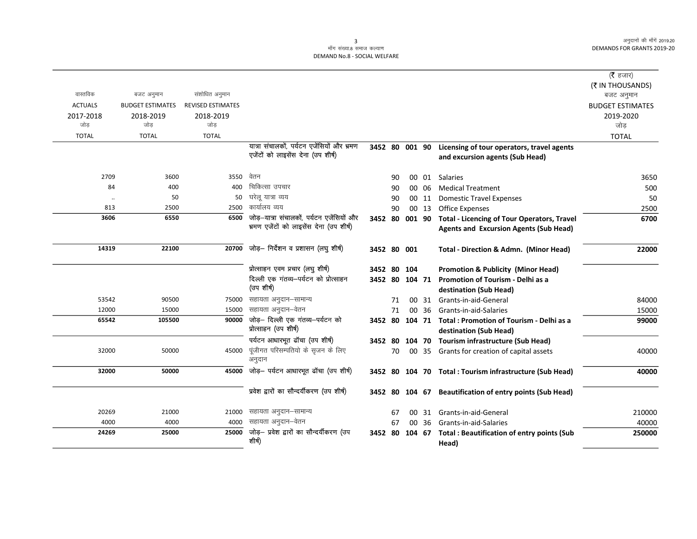|                |                         |                          |                                                                                  |                |    |        |       |                                                          | (रै हजार)               |
|----------------|-------------------------|--------------------------|----------------------------------------------------------------------------------|----------------|----|--------|-------|----------------------------------------------------------|-------------------------|
|                |                         |                          |                                                                                  |                |    |        |       |                                                          | (₹ IN THOUSANDS)        |
| वास्तविक       | बजट अनुमान              | संशोधित अनुमान           |                                                                                  |                |    |        |       |                                                          | बजट अनुमान              |
| <b>ACTUALS</b> | <b>BUDGET ESTIMATES</b> | <b>REVISED ESTIMATES</b> |                                                                                  |                |    |        |       |                                                          | <b>BUDGET ESTIMATES</b> |
| 2017-2018      | 2018-2019               | 2018-2019                |                                                                                  |                |    |        |       |                                                          | 2019-2020               |
| जोड            | जोड                     | जोड                      |                                                                                  |                |    |        |       |                                                          | जोड                     |
| <b>TOTAL</b>   | <b>TOTAL</b>            | <b>TOTAL</b>             |                                                                                  |                |    |        |       |                                                          | <b>TOTAL</b>            |
|                |                         |                          | यात्रा संचालकों, पर्यटन एजेंसियों और भ्रमण<br>एजेंटों को लाइसेंस देना (उप शीर्ष) | 3452 80 001 90 |    |        |       | Licensing of tour operators, travel agents               |                         |
|                |                         |                          |                                                                                  |                |    |        |       | and excursion agents (Sub Head)                          |                         |
| 2709           | 3600                    | 3550                     | वेतन                                                                             |                | 90 |        |       | 00 01 Salaries                                           | 3650                    |
| 84             | 400                     | 400                      | चिकित्सा उपचार                                                                   |                | 90 |        | 00 06 | <b>Medical Treatment</b>                                 | 500                     |
| $\ldots$       | 50                      | 50                       | घरेलू यात्रा व्यय                                                                |                | 90 |        | 00 11 | <b>Domestic Travel Expenses</b>                          | 50                      |
| 813            | 2500                    | 2500                     | कार्यालय व्यय                                                                    |                | 90 |        | 00 13 | <b>Office Expenses</b>                                   | 2500                    |
| 3606           | 6550                    | 6500                     | जोड़–यात्रा संचालकों, पर्यटन एजेंसियों और                                        | 3452 80        |    | 001 90 |       | <b>Total - Licencing of Tour Operators, Travel</b>       | 6700                    |
|                |                         |                          | भ्रमण एजेंटों को लाइसेंस देना (उप शीर्ष)                                         |                |    |        |       | <b>Agents and Excursion Agents (Sub Head)</b>            |                         |
| 14319          | 22100                   | 20700                    | जोड़- निर्देशन व प्रशासन (लघु शीर्ष)                                             | 3452 80 001    |    |        |       | <b>Total - Direction &amp; Admn. (Minor Head)</b>        | 22000                   |
|                |                         |                          | प्रोत्साहन एवम प्रचार (लघु शीर्ष)                                                | 3452 80        |    | 104    |       | <b>Promotion &amp; Publicity (Minor Head)</b>            |                         |
|                |                         |                          | दिल्ली एक गंतव्य-पर्यटन को प्रोत्साहन                                            | 3452 80        |    | 104 71 |       | Promotion of Tourism - Delhi as a                        |                         |
|                |                         |                          | (उपशीर्ष)                                                                        |                |    |        |       | destination (Sub Head)                                   |                         |
| 53542          | 90500                   | 75000                    | सहायता अनुदान–सामान्य                                                            |                | 71 |        | 00 31 | Grants-in-aid-General                                    | 84000                   |
| 12000          | 15000                   | 15000                    | सहायता अनुदान–वेतन                                                               |                | 71 | 00     | 36    | Grants-in-aid-Salaries                                   | 15000                   |
| 65542          | 105500                  | 90000                    | जोड़– दिल्ली एक गंतव्य–पर्यटन को<br>प्रोत्साहन (उप शीर्ष)                        | 3452 80        |    | 104 71 |       | Total: Promotion of Tourism - Delhi as a                 | 99000                   |
|                |                         |                          |                                                                                  |                |    |        |       | destination (Sub Head)                                   |                         |
|                |                         |                          | पर्यटन आधारभूत ढॉचा (उप शीर्ष)                                                   | 3452 80        |    |        |       | 104 70 Tourism infrastructure (Sub Head)                 |                         |
| 32000          | 50000                   | 45000                    | पूंजीगत परिसम्पतियो के सृजन के लिए<br>अनुदान                                     |                | 70 |        |       | 00 35 Grants for creation of capital assets              | 40000                   |
| 32000          | 50000                   | 45000                    | जोड़- पर्यटन आधारभूत ढॉचा (उप शीर्ष)                                             |                |    |        |       | 3452 80 104 70 Total : Tourism infrastructure (Sub Head) | 40000                   |
|                |                         |                          | प्रवेश द्वारों का सौन्दर्यीकरण (उप शीर्ष)                                        |                |    |        |       | 3452 80 104 67 Beautification of entry points (Sub Head) |                         |
|                |                         |                          |                                                                                  |                |    |        |       |                                                          |                         |
| 20269          | 21000                   | 21000                    | सहायता अनुदान–सामान्य                                                            |                | 67 | 00     | 31    | Grants-in-aid-General                                    | 210000                  |
| 4000           | 4000                    | 4000                     | सहायता अनुदान–वेतन                                                               |                | 67 | 00     | 36    | Grants-in-aid-Salaries                                   | 40000                   |
| 24269          | 25000                   | 25000                    | जोड़- प्रवेश द्वारों का सौन्दर्यीकरण (उप<br>शीर्ष)                               | 3452 80        |    | 104 67 |       | <b>Total: Beautification of entry points (Sub</b>        | 250000                  |
|                |                         |                          |                                                                                  |                |    |        |       | Head)                                                    |                         |

 $\overline{\mathbf{3}}$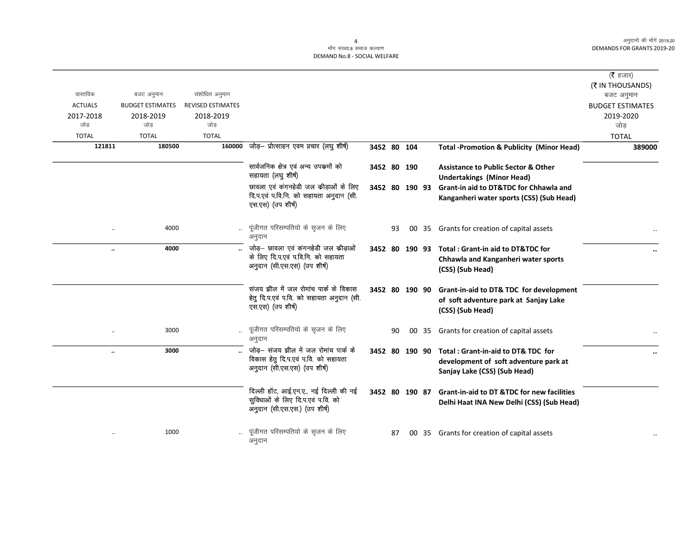## .<br>माँग संख्या.8 समाज कल्याण DEMAND No.8 - SOCIAL WELFARE

| वास्तविक         | बजट अनुमान              | संशोधित अनुमान           |                                                                                                              |                |    |    |       |                                                                                                                            | (रै हजार)<br>(₹ IN THOUSANDS)<br>बजट अनुमान |
|------------------|-------------------------|--------------------------|--------------------------------------------------------------------------------------------------------------|----------------|----|----|-------|----------------------------------------------------------------------------------------------------------------------------|---------------------------------------------|
| <b>ACTUALS</b>   | <b>BUDGET ESTIMATES</b> | <b>REVISED ESTIMATES</b> |                                                                                                              |                |    |    |       |                                                                                                                            | <b>BUDGET ESTIMATES</b>                     |
| 2017-2018<br>जोड | 2018-2019<br>जोड        | 2018-2019<br>जोड         |                                                                                                              |                |    |    |       |                                                                                                                            | 2019-2020<br>जोड                            |
| <b>TOTAL</b>     | <b>TOTAL</b>            | <b>TOTAL</b>             |                                                                                                              |                |    |    |       |                                                                                                                            | <b>TOTAL</b>                                |
| 121811           | 180500                  |                          | 160000 जोड़- प्रोत्साहन एवम प्रचार (लघु शीर्ष)                                                               | 3452 80 104    |    |    |       | <b>Total -Promotion &amp; Publicity (Minor Head)</b>                                                                       | 389000                                      |
|                  |                         |                          |                                                                                                              |                |    |    |       |                                                                                                                            |                                             |
|                  |                         |                          | सार्वजनिक क्षेत्र एवं अन्य उपक्रमों को<br>सहायता (लघु शीर्ष)                                                 | 3452 80 190    |    |    |       | <b>Assistance to Public Sector &amp; Other</b><br><b>Undertakings (Minor Head)</b>                                         |                                             |
|                  |                         |                          | छावला एवं कंगनहेडी जल कीड़ाओं के लिए                                                                         |                |    |    |       | 3452 80 190 93 Grant-in aid to DT&TDC for Chhawla and                                                                      |                                             |
|                  |                         |                          | दि.प.एवं प.वि.नि. को सहायता अनुदान (सी.<br>एस.एस) (उप शीर्ष)                                                 |                |    |    |       | Kanganheri water sports (CSS) (Sub Head)                                                                                   |                                             |
|                  | 4000                    |                          | पूंजीगत परिसम्पतियो के सृजन के लिए<br>अनुदान                                                                 |                | 93 |    | 00 35 | Grants for creation of capital assets                                                                                      |                                             |
| $\ddotsc$        | 4000                    |                          | जोड़- छावला एवं कंगनहेडी जल कीड़ाओं<br>के लिए दि.प.एवं प.वि.नि. को सहायता<br>अनुदान (सी.एस.एस) (उप शीर्ष)    |                |    |    |       | 3452 80 190 93 Total: Grant-in aid to DT&TDC for<br>Chhawla and Kanganheri water sports<br>(CSS) (Sub Head)                |                                             |
|                  |                         |                          | संजय झील में जल रोमांच पार्क के विकास<br>हेतु दि.प.एवं प.वि. को सहायता अनुदान (सी.<br>एस.एस) (उप शीर्ष)      | 3452 80 190 90 |    |    |       | Grant-in-aid to DT& TDC for development<br>of soft adventure park at Sanjay Lake<br>(CSS) (Sub Head)                       |                                             |
| $\ddotsc$        | 3000                    |                          | पूंजीगत परिसम्पतियो के सृजन के लिए<br>अनुदान                                                                 |                | 90 | 00 | 35    | Grants for creation of capital assets                                                                                      |                                             |
|                  | 3000                    |                          | जोड़— संजय झील में जल रोमांच पार्क के<br>विकास हेतु दि.प.एवं प.वि. को सहायता<br>अनुदान (सी.एस.एस) (उप शीर्ष) |                |    |    |       | 3452 80 190 90 Total: Grant-in-aid to DT& TDC for<br>development of soft adventure park at<br>Sanjay Lake (CSS) (Sub Head) |                                             |
|                  |                         |                          | दिल्ली हॉट, आई.एन.ए., नई दिल्ली की नई<br>सुविधाओं के लिए दि.प.एवं प.वि. को<br>अनुदान (सी.एस.एस.) (उप शीर्ष)  |                |    |    |       | 3452 80 190 87 Grant-in-aid to DT &TDC for new facilities<br>Delhi Haat INA New Delhi (CSS) (Sub Head)                     |                                             |
|                  | 1000                    |                          | पूंजीगत परिसम्पतियो के सृजन के लिए<br>अनुदान                                                                 |                | 87 |    | 00 35 | Grants for creation of capital assets                                                                                      |                                             |

4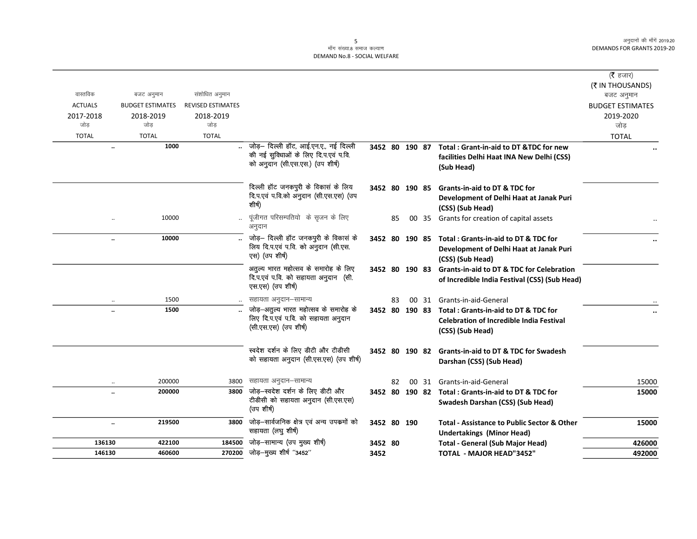|                      |                         |                                                        |                                                                                                   |             |    |                                                             |                                                                                                           | ( $\bar{\tau}$ हजार)<br>(₹ IN THOUSANDS) |
|----------------------|-------------------------|--------------------------------------------------------|---------------------------------------------------------------------------------------------------|-------------|----|-------------------------------------------------------------|-----------------------------------------------------------------------------------------------------------|------------------------------------------|
| वास्तविक             | बजट अनुमान              | संशोधित अनुमान                                         |                                                                                                   |             |    |                                                             |                                                                                                           | बजट अनुमान                               |
| <b>ACTUALS</b>       | <b>BUDGET ESTIMATES</b> | <b>REVISED ESTIMATES</b>                               |                                                                                                   |             |    |                                                             |                                                                                                           | <b>BUDGET ESTIMATES</b>                  |
| 2017-2018            | 2018-2019               | 2018-2019                                              |                                                                                                   |             |    |                                                             |                                                                                                           | 2019-2020                                |
| जोड                  | जोड                     | जोड                                                    |                                                                                                   |             |    |                                                             |                                                                                                           | जोड                                      |
| <b>TOTAL</b>         | <b>TOTAL</b>            | <b>TOTAL</b>                                           |                                                                                                   |             |    |                                                             |                                                                                                           | <b>TOTAL</b>                             |
| $\ddotsc$            | 1000                    |                                                        | जोड़- दिल्ली हॉट, आई.एन.ए., नई दिल्ली                                                             |             |    |                                                             | 3452 80 190 87 Total: Grant-in-aid to DT &TDC for new                                                     |                                          |
|                      |                         |                                                        | की नई सुविधाओं के लिए दि.प.एवं प.वि.<br>को अनुदान (सी.एस.एस.) (उप शीर्ष)                          |             |    |                                                             | facilities Delhi Haat INA New Delhi (CSS)<br>(Sub Head)                                                   |                                          |
|                      |                         |                                                        |                                                                                                   |             |    |                                                             |                                                                                                           |                                          |
|                      |                         |                                                        | दिल्ली हॉट जनकपुरी के विकास के लिय                                                                |             |    |                                                             | 3452 80 190 85 Grants-in-aid to DT & TDC for                                                              |                                          |
|                      |                         |                                                        | दि.प.एवं प.वि.को अनुदान (सी.एस.एस) (उप                                                            |             |    |                                                             | Development of Delhi Haat at Janak Puri                                                                   |                                          |
|                      |                         |                                                        | शीर्ष)                                                                                            |             |    |                                                             | (CSS) (Sub Head)                                                                                          |                                          |
| $\ddotsc$            | 10000                   |                                                        | पूंजीगत परिसम्पतियो के सृजन के लिए<br>अनुदान                                                      |             | 85 | 00 35                                                       | Grants for creation of capital assets                                                                     |                                          |
| $\ddot{\phantom{a}}$ | 10000                   |                                                        | जोड़- दिल्ली हॉट जनकपुरी के विकास के                                                              |             |    |                                                             | 3452 80 190 85 Total: Grants-in-aid to DT & TDC for                                                       |                                          |
|                      |                         | लिय दि.प.एवं प.वि. को अनुदान (सी.एस.<br>एस) (उप शीर्ष) |                                                                                                   |             |    | Development of Delhi Haat at Janak Puri<br>(CSS) (Sub Head) |                                                                                                           |                                          |
|                      |                         |                                                        | अतुल्य भारत महोत्सव के समारोह के लिए<br>दि.प.एवं प.वि. को सहायता अनुदान (सी.<br>एस.एस) (उप शीर्ष) |             |    |                                                             | 3452 80 190 83 Grants-in-aid to DT & TDC for Celebration<br>of Incredible India Festival (CSS) (Sub Head) |                                          |
| $\ldots$             | 1500                    |                                                        | सहायता अनुदान–सामान्य                                                                             |             | 83 | 00 31                                                       | Grants-in-aid-General                                                                                     |                                          |
| $\ddotsc$            | 1500                    |                                                        | जोड़-अतुल्य भारत महोत्सव के समारोह के                                                             |             |    |                                                             | 3452 80 190 83 Total: Grants-in-aid to DT & TDC for                                                       |                                          |
|                      |                         |                                                        | लिए दि.प.एवं प.वि. को सहायता अनुदान                                                               |             |    |                                                             | <b>Celebration of Incredible India Festival</b>                                                           |                                          |
|                      |                         |                                                        | (सी.एस.एस) (उप शीर्ष)                                                                             |             |    |                                                             | (CSS) (Sub Head)                                                                                          |                                          |
|                      |                         |                                                        | स्वदेश दर्शन के लिए डीटी और टीडीसी                                                                |             |    |                                                             | 3452 80 190 82 Grants-in-aid to DT & TDC for Swadesh                                                      |                                          |
|                      |                         |                                                        | को सहायता अनुदान (सी.एस.एस) (उप शीर्ष)                                                            |             |    |                                                             | Darshan (CSS) (Sub Head)                                                                                  |                                          |
| $\ddotsc$            | 200000                  | 3800                                                   | सहायता अनुदान–सामान्य                                                                             |             | 82 | 00 31                                                       | Grants-in-aid-General                                                                                     | 15000                                    |
|                      | 200000                  | 3800                                                   | जोड़—स्वदेश दर्शन के लिए डीटी और                                                                  |             |    |                                                             | 3452 80 190 82 Total: Grants-in-aid to DT & TDC for                                                       | 15000                                    |
|                      |                         |                                                        | टीडीसी को सहायता अनुदान (सी.एस.एस)<br>(उप शीर्ष)                                                  |             |    |                                                             | Swadesh Darshan (CSS) (Sub Head)                                                                          |                                          |
| $\ddotsc$            | 219500                  | 3800                                                   | जोड़-सार्वजनिक क्षेत्र एवं अन्य उपकर्मो को<br>सहायता (लघु शीर्ष)                                  | 3452 80 190 |    |                                                             | <b>Total - Assistance to Public Sector &amp; Other</b><br><b>Undertakings (Minor Head)</b>                | 15000                                    |
| 136130               | 422100                  | 184500                                                 | जोड़-सामान्य (उप मुख्य शीर्ष)                                                                     | 3452 80     |    |                                                             | <b>Total - General (Sub Major Head)</b>                                                                   | 426000                                   |
| 146130               | 460600                  |                                                        | 270200 जोड़-मुख्य शीर्ष "3452"                                                                    | 3452        |    |                                                             | <b>TOTAL - MAJOR HEAD"3452"</b>                                                                           | 492000                                   |